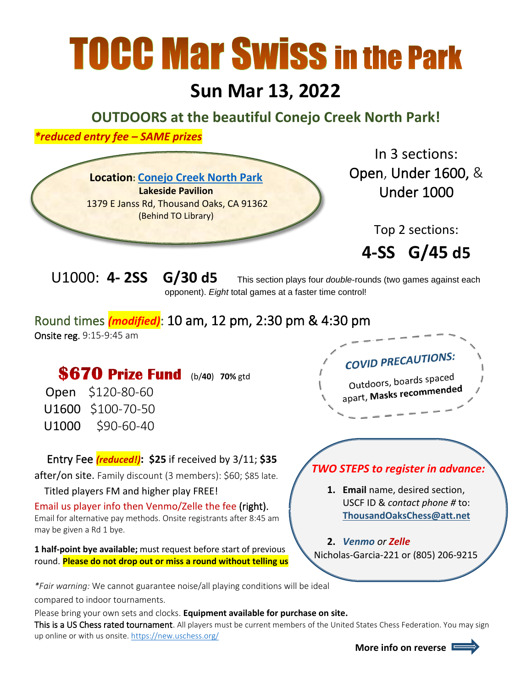# **TOCC Mar Swiss in the Park**

# **Sun Mar 13, 2022**

**OUTDOORS at the beautiful Conejo Creek North Park!**

*\*reduced entry fee – SAME prizes*



In 3 sections: Open, Under 1600, &

Top 2 sections:

**4-SS G/45 d5**

U1000: **4- 2SS G/30 d5** This section plays four *double*-rounds (two games against each opponent). *Eight* total games at a faster time control!

### Round times *(modified)*: 10 am, 12 pm, 2:30 pm & 4:30 pm Onsite reg. 9:15-9:45 am

## **\$670 Prize Fund** (b/40) 70% gtd

Open \$120-80-60 U1600 \$100-70-50 U1000 \$90-60-40

#### Entry Fee *(reduced!)***: \$25** if received by 3/11; **\$35**

after/on site. Family discount (3 members): \$60; \$85 late.

#### Titled players FM and higher play FREE!

Email us player info then Venmo/Zelle the fee (right). Email for alternative pay methods. Onsite registrants after 8:45 am may be given a Rd 1 bye.

**1 half-point bye available;** must request before start of previous round. **Please do not drop out or miss a round without telling us**

*\*Fair warning:* We cannot guarantee noise/all playing conditions will be ideal compared to indoor tournaments.

Please bring your own sets and clocks. **Equipment available for purchase on site.**

This is a US Chess rated tournament. All players must be current members of the United States Chess Federation. You may sign up online or with us onsite.<https://new.uschess.org/>

# **COVID PRECAUTIONS:**

Outdoors, boards spaced Outdoors, boards of

## *TWO STEPS to register in advance:*

- **1. Email** name, desired section, USCF ID & *contact phone #* to: **[ThousandOaksChess@att.net](mailto:ThousandOaksChess@att.net)**
- **2.** *Venmo or Zelle* Nicholas-Garcia-221 or (805) 206-9215

 **More info on reverse**